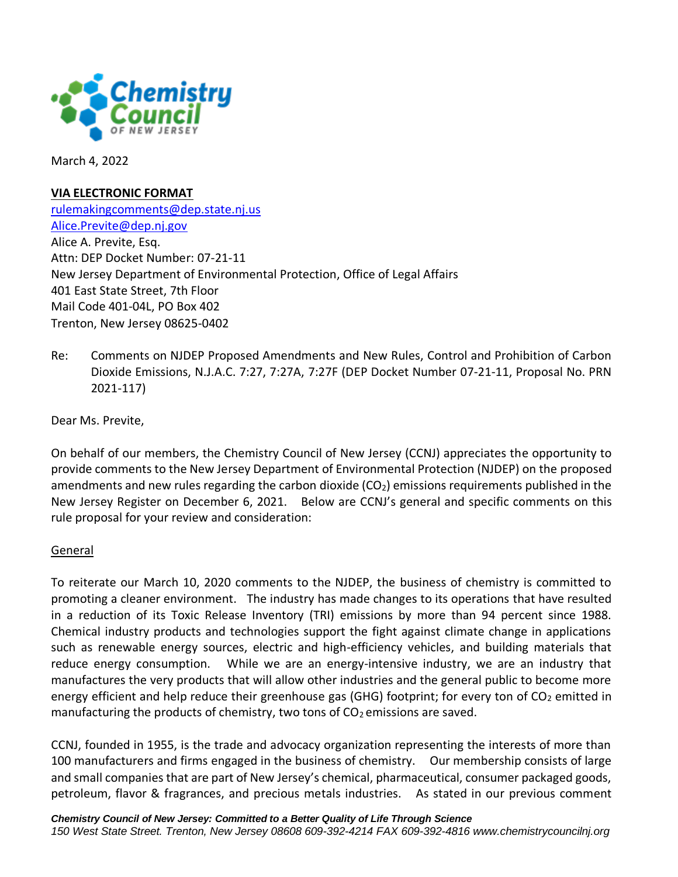

March 4, 2022

#### **VIA ELECTRONIC FORMAT**

[rulemakingcomments@dep.state.nj.us](mailto:rulemakingcomments@dep.state.nj.us?subject=DEP%20Dkt.%20##-##-##&body=Enter rule comments here.) [Alice.Previte@dep.nj.gov](mailto:Alice.Previte@dep.nj.gov) Alice A. Previte, Esq. Attn: DEP Docket Number: 07-21-11 New Jersey Department of Environmental Protection, Office of Legal Affairs 401 East State Street, 7th Floor Mail Code 401-04L, PO Box 402 Trenton, New Jersey 08625-0402

Re: Comments on NJDEP Proposed Amendments and New Rules, Control and Prohibition of Carbon Dioxide Emissions, N.J.A.C. 7:27, 7:27A, 7:27F (DEP Docket Number 07-21-11, Proposal No. PRN 2021-117)

Dear Ms. Previte,

On behalf of our members, the Chemistry Council of New Jersey (CCNJ) appreciates the opportunity to provide comments to the New Jersey Department of Environmental Protection (NJDEP) on the proposed amendments and new rules regarding the carbon dioxide  $(CO<sub>2</sub>)$  emissions requirements published in the New Jersey Register on December 6, 2021. Below are CCNJ's general and specific comments on this rule proposal for your review and consideration:

#### General

To reiterate our March 10, 2020 comments to the NJDEP, the business of chemistry is committed to promoting a cleaner environment. The industry has made changes to its operations that have resulted in a reduction of its Toxic Release Inventory (TRI) emissions by more than 94 percent since 1988. Chemical industry products and technologies support the fight against climate change in applications such as renewable energy sources, electric and high-efficiency vehicles, and building materials that reduce energy consumption. While we are an energy-intensive industry, we are an industry that manufactures the very products that will allow other industries and the general public to become more energy efficient and help reduce their greenhouse gas (GHG) footprint; for every ton of  $CO<sub>2</sub>$  emitted in manufacturing the products of chemistry, two tons of  $CO<sub>2</sub>$  emissions are saved.

CCNJ, founded in 1955, is the trade and advocacy organization representing the interests of more than 100 manufacturers and firms engaged in the business of chemistry. Our membership consists of large and small companies that are part of New Jersey's chemical, pharmaceutical, consumer packaged goods, petroleum, flavor & fragrances, and precious metals industries. As stated in our previous comment

*Chemistry Council of New Jersey: Committed to a Better Quality of Life Through Science 150 West State Street. Trenton, New Jersey 08608 609-392-4214 FAX 609-392-4816 www.chemistrycouncilnj.org*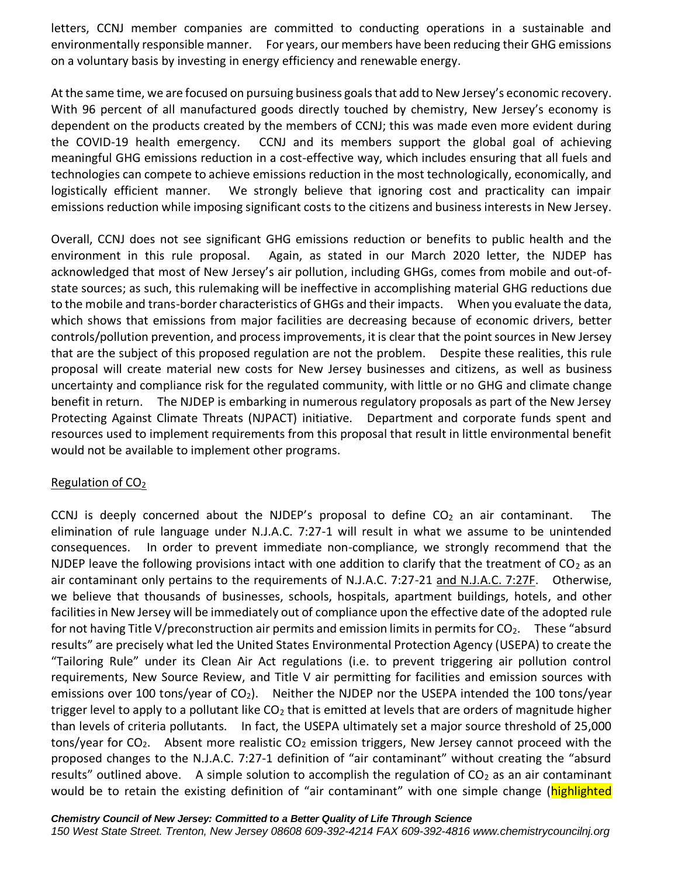letters, CCNJ member companies are committed to conducting operations in a sustainable and environmentally responsible manner. For years, our members have been reducing their GHG emissions on a voluntary basis by investing in energy efficiency and renewable energy.

At the same time, we are focused on pursuing business goals that add to New Jersey's economic recovery. With 96 percent of all manufactured goods directly touched by chemistry, New Jersey's economy is dependent on the products created by the members of CCNJ; this was made even more evident during the COVID-19 health emergency. CCNJ and its members support the global goal of achieving meaningful GHG emissions reduction in a cost-effective way, which includes ensuring that all fuels and technologies can compete to achieve emissions reduction in the most technologically, economically, and logistically efficient manner. We strongly believe that ignoring cost and practicality can impair emissions reduction while imposing significant costs to the citizens and business interests in New Jersey.

Overall, CCNJ does not see significant GHG emissions reduction or benefits to public health and the environment in this rule proposal. Again, as stated in our March 2020 letter, the NJDEP has acknowledged that most of New Jersey's air pollution, including GHGs, comes from mobile and out-ofstate sources; as such, this rulemaking will be ineffective in accomplishing material GHG reductions due to the mobile and trans-border characteristics of GHGs and their impacts. When you evaluate the data, which shows that emissions from major facilities are decreasing because of economic drivers, better controls/pollution prevention, and process improvements, it is clear that the point sources in New Jersey that are the subject of this proposed regulation are not the problem. Despite these realities, this rule proposal will create material new costs for New Jersey businesses and citizens, as well as business uncertainty and compliance risk for the regulated community, with little or no GHG and climate change benefit in return. The NJDEP is embarking in numerous regulatory proposals as part of the New Jersey Protecting Against Climate Threats (NJPACT) initiative. Department and corporate funds spent and resources used to implement requirements from this proposal that result in little environmental benefit would not be available to implement other programs.

## Regulation of CO<sub>2</sub>

CCNJ is deeply concerned about the NJDEP's proposal to define  $CO<sub>2</sub>$  an air contaminant. The elimination of rule language under N.J.A.C. 7:27-1 will result in what we assume to be unintended consequences. In order to prevent immediate non-compliance, we strongly recommend that the NJDEP leave the following provisions intact with one addition to clarify that the treatment of  $CO<sub>2</sub>$  as an air contaminant only pertains to the requirements of N.J.A.C. 7:27-21 and N.J.A.C. 7:27F. Otherwise, we believe that thousands of businesses, schools, hospitals, apartment buildings, hotels, and other facilities in New Jersey will be immediately out of compliance upon the effective date of the adopted rule for not having Title V/preconstruction air permits and emission limits in permits for  $CO<sub>2</sub>$ . These "absurd results" are precisely what led the United States Environmental Protection Agency (USEPA) to create the "Tailoring Rule" under its Clean Air Act regulations (i.e. to prevent triggering air pollution control requirements, New Source Review, and Title V air permitting for facilities and emission sources with emissions over 100 tons/year of CO<sub>2</sub>). Neither the NJDEP nor the USEPA intended the 100 tons/year trigger level to apply to a pollutant like  $CO<sub>2</sub>$  that is emitted at levels that are orders of magnitude higher than levels of criteria pollutants. In fact, the USEPA ultimately set a major source threshold of 25,000 tons/year for  $CO<sub>2</sub>$ . Absent more realistic  $CO<sub>2</sub>$  emission triggers, New Jersey cannot proceed with the proposed changes to the N.J.A.C. 7:27-1 definition of "air contaminant" without creating the "absurd results" outlined above. A simple solution to accomplish the regulation of  $CO<sub>2</sub>$  as an air contaminant would be to retain the existing definition of "air contaminant" with one simple change (highlighted

*Chemistry Council of New Jersey: Committed to a Better Quality of Life Through Science*

*150 West State Street. Trenton, New Jersey 08608 609-392-4214 FAX 609-392-4816 www.chemistrycouncilnj.org*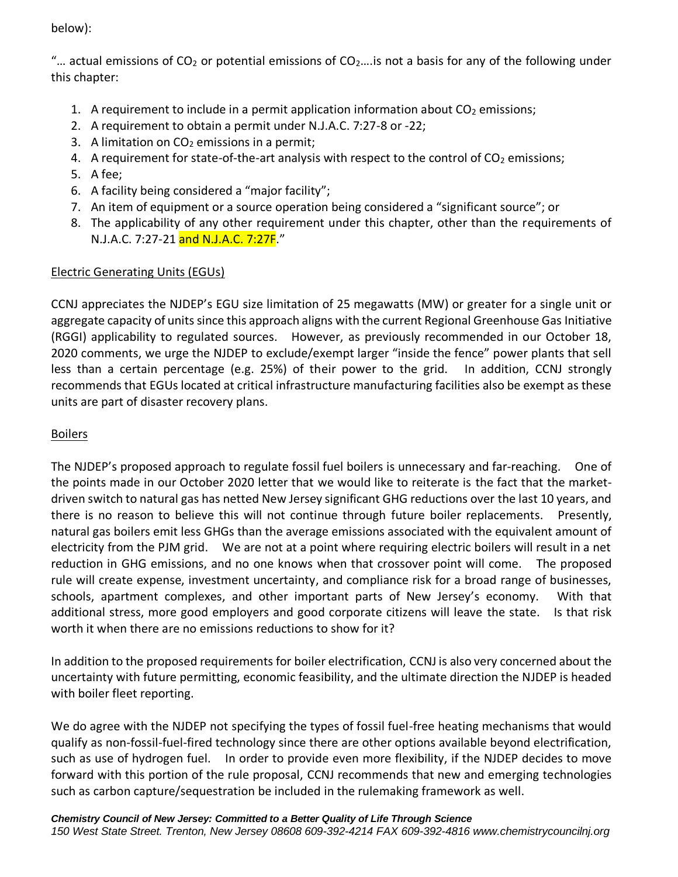below):

"... actual emissions of  $CO<sub>2</sub>$  or potential emissions of  $CO<sub>2</sub>$ ... is not a basis for any of the following under this chapter:

- 1. A requirement to include in a permit application information about  $CO<sub>2</sub>$  emissions;
- 2. A requirement to obtain a permit under N.J.A.C. 7:27-8 or -22;
- 3. A limitation on  $CO<sub>2</sub>$  emissions in a permit;
- 4. A requirement for state-of-the-art analysis with respect to the control of  $CO<sub>2</sub>$  emissions;
- 5. A fee;
- 6. A facility being considered a "major facility";
- 7. An item of equipment or a source operation being considered a "significant source"; or
- 8. The applicability of any other requirement under this chapter, other than the requirements of N.J.A.C. 7:27-21 and N.J.A.C. 7:27F."

# Electric Generating Units (EGUs)

CCNJ appreciates the NJDEP's EGU size limitation of 25 megawatts (MW) or greater for a single unit or aggregate capacity of units since this approach aligns with the current Regional Greenhouse Gas Initiative (RGGI) applicability to regulated sources. However, as previously recommended in our October 18, 2020 comments, we urge the NJDEP to exclude/exempt larger "inside the fence" power plants that sell less than a certain percentage (e.g. 25%) of their power to the grid. In addition, CCNJ strongly recommends that EGUs located at critical infrastructure manufacturing facilities also be exempt as these units are part of disaster recovery plans.

## Boilers

The NJDEP's proposed approach to regulate fossil fuel boilers is unnecessary and far-reaching. One of the points made in our October 2020 letter that we would like to reiterate is the fact that the marketdriven switch to natural gas has netted New Jersey significant GHG reductions over the last 10 years, and there is no reason to believe this will not continue through future boiler replacements. Presently, natural gas boilers emit less GHGs than the average emissions associated with the equivalent amount of electricity from the PJM grid. We are not at a point where requiring electric boilers will result in a net reduction in GHG emissions, and no one knows when that crossover point will come. The proposed rule will create expense, investment uncertainty, and compliance risk for a broad range of businesses, schools, apartment complexes, and other important parts of New Jersey's economy. With that additional stress, more good employers and good corporate citizens will leave the state. Is that risk worth it when there are no emissions reductions to show for it?

In addition to the proposed requirements for boiler electrification, CCNJ is also very concerned about the uncertainty with future permitting, economic feasibility, and the ultimate direction the NJDEP is headed with boiler fleet reporting.

We do agree with the NJDEP not specifying the types of fossil fuel-free heating mechanisms that would qualify as non-fossil-fuel-fired technology since there are other options available beyond electrification, such as use of hydrogen fuel. In order to provide even more flexibility, if the NJDEP decides to move forward with this portion of the rule proposal, CCNJ recommends that new and emerging technologies such as carbon capture/sequestration be included in the rulemaking framework as well.

*Chemistry Council of New Jersey: Committed to a Better Quality of Life Through Science*

*150 West State Street. Trenton, New Jersey 08608 609-392-4214 FAX 609-392-4816 www.chemistrycouncilnj.org*